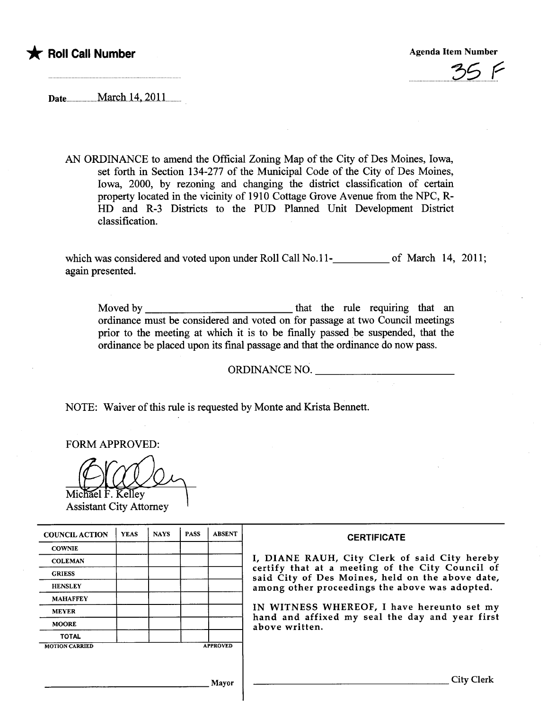

 $\overline{\smash{\cup}}\,$ 

Date...................Mar.ch...4..201l..

AN ORDINANCE to amend the Official Zoning Map of the City of Des Moines, Iowa, set forth in Section 134-277 of the Municipal Code of the City of Des Moines, Iowa, 2000, by rezoning and changing the district classification of certain property located in the vicinity of 1910 Cottge Grove Avenue from the NPC, R-HD and R-3 Districts to the PUD Planned Unit Development District classification.

which was considered and voted upon under Roll Call No.11-**Represent 2011**; 2011; again presented.

Moved by that the rule requinng that an ordinance must be considered and voted on for passage at two Council meetings prior to the meeting at which it is to be finally passed be suspended, that the ordinance be placed upon its final passage and that the ordinance do now pass.

ORDINANCE NO.

NOTE: Waiver of this rule is requested by Monte and Krista Bennett.

FORM APPROVED:

Michael F. Kelley

**Assistant City Attorney** 

| <b>COUNCIL ACTION</b> | <b>YEAS</b> | <b>NAYS</b> | <b>PASS</b> | <b>ABSENT</b>   | <b>CERTIFICATE</b>                                                                                                                                                                                                                                                                                                         |
|-----------------------|-------------|-------------|-------------|-----------------|----------------------------------------------------------------------------------------------------------------------------------------------------------------------------------------------------------------------------------------------------------------------------------------------------------------------------|
| <b>COWNIE</b>         |             |             |             |                 | I, DIANE RAUH, City Clerk of said City hereby<br>certify that at a meeting of the City Council of<br>said City of Des Moines, held on the above date,<br>among other proceedings the above was adopted.<br>IN WITNESS WHEREOF, I have hereunto set my<br>hand and affixed my seal the day and year first<br>above written. |
| <b>COLEMAN</b>        |             |             |             |                 |                                                                                                                                                                                                                                                                                                                            |
| <b>GRIESS</b>         |             |             |             |                 |                                                                                                                                                                                                                                                                                                                            |
| <b>HENSLEY</b>        |             |             |             |                 |                                                                                                                                                                                                                                                                                                                            |
| <b>MAHAFFEY</b>       |             |             |             |                 |                                                                                                                                                                                                                                                                                                                            |
| <b>MEYER</b>          |             |             |             |                 |                                                                                                                                                                                                                                                                                                                            |
| <b>MOORE</b>          |             |             |             |                 |                                                                                                                                                                                                                                                                                                                            |
| <b>TOTAL</b>          |             |             |             |                 |                                                                                                                                                                                                                                                                                                                            |
| <b>MOTION CARRIED</b> |             |             |             | <b>APPROVED</b> |                                                                                                                                                                                                                                                                                                                            |
|                       |             |             |             |                 |                                                                                                                                                                                                                                                                                                                            |
|                       |             |             |             | Mayor           | City Cl                                                                                                                                                                                                                                                                                                                    |